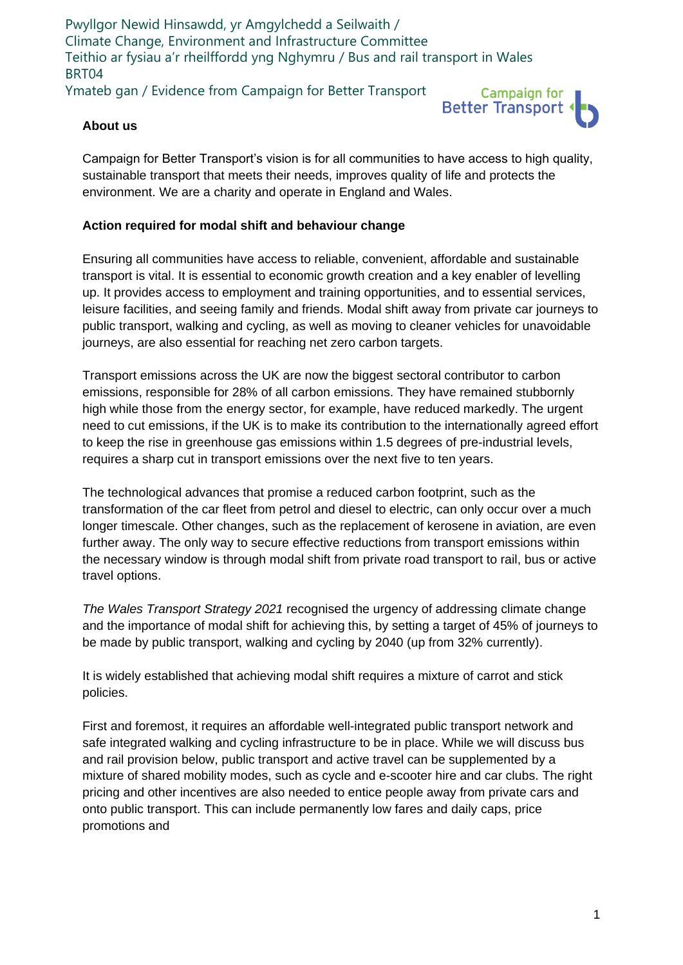Pwyllgor Newid Hinsawdd, yr Amgylchedd a Seilwaith / Climate Change, Environment and Infrastructure Committee Teithio ar fysiau a'r rheilffordd yng Nghymru / Bus and rail transport in Wales BRT04 Ymateb gan / Evidence from Campaign for Better Transport



## **About us**

Campaign for Better Transport's vision is for all communities to have access to high quality, sustainable transport that meets their needs, improves quality of life and protects the environment. We are a charity and operate in England and Wales.

## **Action required for modal shift and behaviour change**

Ensuring all communities have access to reliable, convenient, affordable and sustainable transport is vital. It is essential to economic growth creation and a key enabler of levelling up. It provides access to employment and training opportunities, and to essential services, leisure facilities, and seeing family and friends. Modal shift away from private car journeys to public transport, walking and cycling, as well as moving to cleaner vehicles for unavoidable journeys, are also essential for reaching net zero carbon targets.

Transport emissions across the UK are now the biggest sectoral contributor to carbon emissions, responsible for 28% of all carbon emissions. They have remained stubbornly high while those from the energy sector, for example, have reduced markedly. The urgent need to cut emissions, if the UK is to make its contribution to the internationally agreed effort to keep the rise in greenhouse gas emissions within 1.5 degrees of pre-industrial levels, requires a sharp cut in transport emissions over the next five to ten years.

The technological advances that promise a reduced carbon footprint, such as the transformation of the car fleet from petrol and diesel to electric, can only occur over a much longer timescale. Other changes, such as the replacement of kerosene in aviation, are even further away. The only way to secure effective reductions from transport emissions within the necessary window is through modal shift from private road transport to rail, bus or active travel options.

*The Wales Transport Strategy 2021* recognised the urgency of addressing climate change and the importance of modal shift for achieving this, by setting a target of 45% of journeys to be made by public transport, walking and cycling by 2040 (up from 32% currently).

It is widely established that achieving modal shift requires a mixture of carrot and stick policies.

First and foremost, it requires an affordable well-integrated public transport network and safe integrated walking and cycling infrastructure to be in place. While we will discuss bus and rail provision below, public transport and active travel can be supplemented by a mixture of shared mobility modes, such as cycle and e-scooter hire and car clubs. The right pricing and other incentives are also needed to entice people away from private cars and onto public transport. This can include permanently low fares and daily caps, price promotions and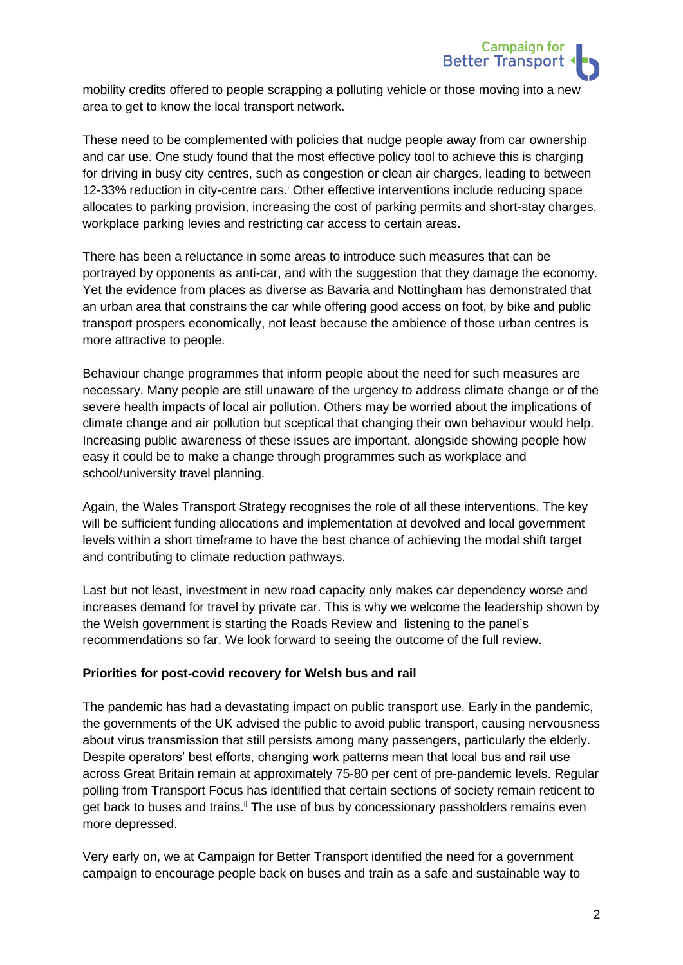

mobility credits offered to people scrapping a polluting vehicle or those moving into a new area to get to know the local transport network.

These need to be complemented with policies that nudge people away from car ownership and car use. One study found that the most effective policy tool to achieve this is charging for driving in busy city centres, such as congestion or clean air charges, leading to between 12-33% reduction in city-centre cars.<sup>i</sup> Other effective interventions include reducing space allocates to parking provision, increasing the cost of parking permits and short-stay charges, workplace parking levies and restricting car access to certain areas.

There has been a reluctance in some areas to introduce such measures that can be portrayed by opponents as anti-car, and with the suggestion that they damage the economy. Yet the evidence from places as diverse as Bavaria and Nottingham has demonstrated that an urban area that constrains the car while offering good access on foot, by bike and public transport prospers economically, not least because the ambience of those urban centres is more attractive to people.

Behaviour change programmes that inform people about the need for such measures are necessary. Many people are still unaware of the urgency to address climate change or of the severe health impacts of local air pollution. Others may be worried about the implications of climate change and air pollution but sceptical that changing their own behaviour would help. Increasing public awareness of these issues are important, alongside showing people how easy it could be to make a change through programmes such as workplace and school/university travel planning.

Again, the Wales Transport Strategy recognises the role of all these interventions. The key will be sufficient funding allocations and implementation at devolved and local government levels within a short timeframe to have the best chance of achieving the modal shift target and contributing to climate reduction pathways.

Last but not least, investment in new road capacity only makes car dependency worse and increases demand for travel by private car. This is why we welcome the leadership shown by the Welsh government is starting the Roads Review and listening to the panel's recommendations so far. We look forward to seeing the outcome of the full review.

### **Priorities for post-covid recovery for Welsh bus and rail**

The pandemic has had a devastating impact on public transport use. Early in the pandemic, the governments of the UK advised the public to avoid public transport, causing nervousness about virus transmission that still persists among many passengers, particularly the elderly. Despite operators' best efforts, changing work patterns mean that local bus and rail use across Great Britain remain at approximately 75-80 per cent of pre-pandemic levels. Regular polling from Transport Focus has identified that certain sections of society remain reticent to get back to buses and trains.<sup>ii</sup> The use of bus by concessionary passholders remains even more depressed.

Very early on, we at Campaign for Better Transport identified the need for a government campaign to encourage people back on buses and train as a safe and sustainable way to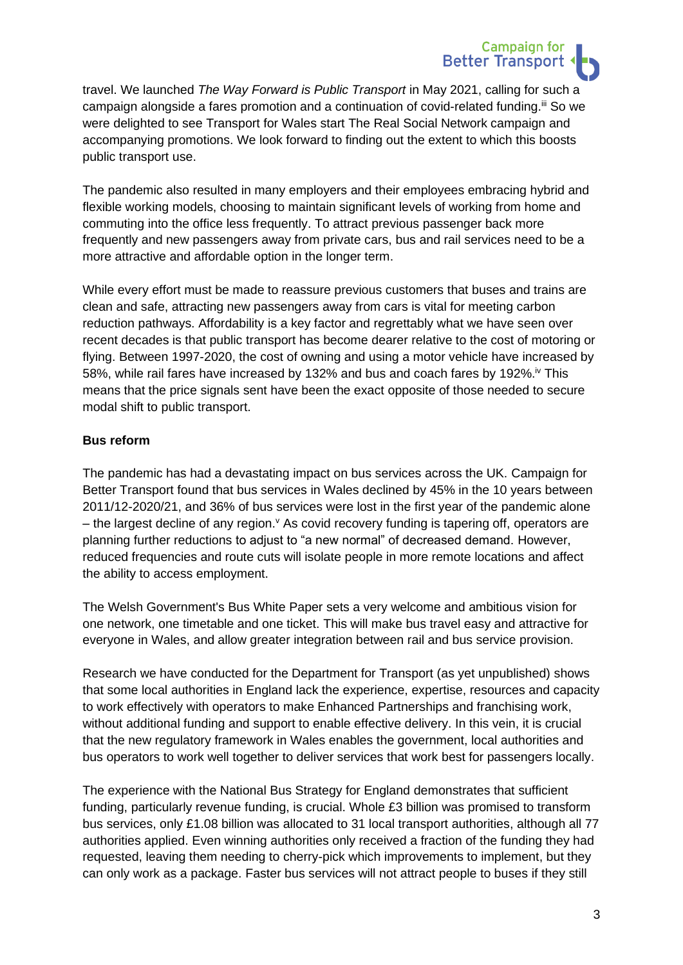

**Campaign for** 

The pandemic also resulted in many employers and their employees embracing hybrid and flexible working models, choosing to maintain significant levels of working from home and commuting into the office less frequently. To attract previous passenger back more frequently and new passengers away from private cars, bus and rail services need to be a more attractive and affordable option in the longer term.

While every effort must be made to reassure previous customers that buses and trains are clean and safe, attracting new passengers away from cars is vital for meeting carbon reduction pathways. Affordability is a key factor and regrettably what we have seen over recent decades is that public transport has become dearer relative to the cost of motoring or flying. Between 1997-2020, the cost of owning and using a motor vehicle have increased by 58%, while rail fares have increased by 132% and bus and coach fares by 192%.<sup>iv</sup> This means that the price signals sent have been the exact opposite of those needed to secure modal shift to public transport.

# **Bus reform**

The pandemic has had a devastating impact on bus services across the UK. Campaign for Better Transport found that bus services in Wales declined by 45% in the 10 years between 2011/12-2020/21, and 36% of bus services were lost in the first year of the pandemic alone – the largest decline of any region. As covid recovery funding is tapering off, operators are planning further reductions to adjust to "a new normal" of decreased demand. However, reduced frequencies and route cuts will isolate people in more remote locations and affect the ability to access employment.

The Welsh Government's Bus White Paper sets a very welcome and ambitious vision for one network, one timetable and one ticket. This will make bus travel easy and attractive for everyone in Wales, and allow greater integration between rail and bus service provision.

Research we have conducted for the Department for Transport (as yet unpublished) shows that some local authorities in England lack the experience, expertise, resources and capacity to work effectively with operators to make Enhanced Partnerships and franchising work, without additional funding and support to enable effective delivery. In this vein, it is crucial that the new regulatory framework in Wales enables the government, local authorities and bus operators to work well together to deliver services that work best for passengers locally.

The experience with the National Bus Strategy for England demonstrates that sufficient funding, particularly revenue funding, is crucial. Whole £3 billion was promised to transform bus services, only £1.08 billion was allocated to 31 local transport authorities, although all 77 authorities applied. Even winning authorities only received a fraction of the funding they had requested, leaving them needing to cherry-pick which improvements to implement, but they can only work as a package. Faster bus services will not attract people to buses if they still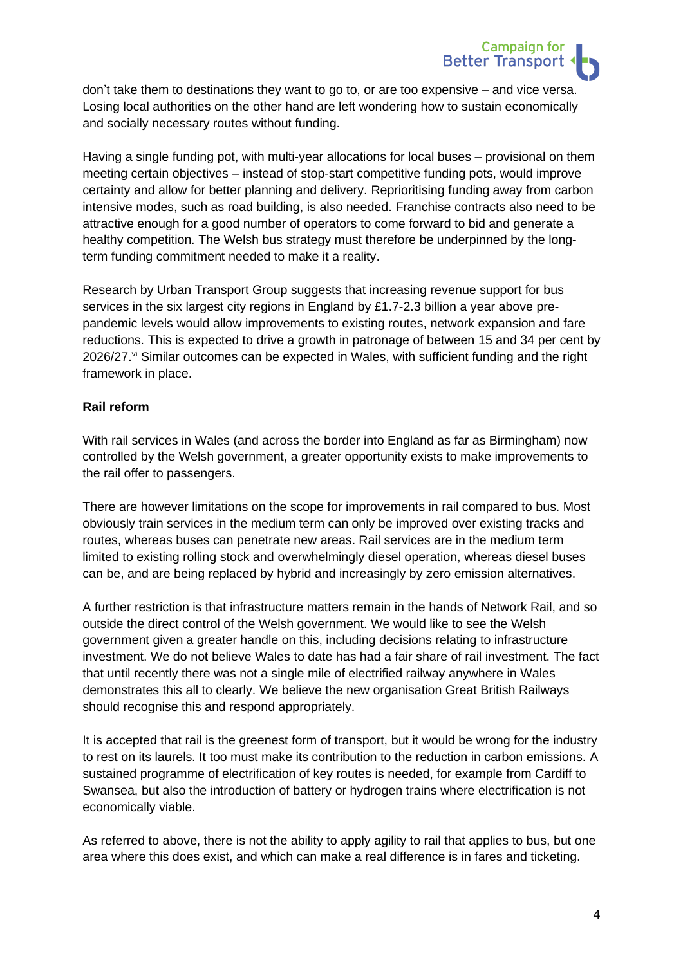

don't take them to destinations they want to go to, or are too expensive – and vice versa. Losing local authorities on the other hand are left wondering how to sustain economically and socially necessary routes without funding.

Having a single funding pot, with multi-year allocations for local buses – provisional on them meeting certain objectives – instead of stop-start competitive funding pots, would improve certainty and allow for better planning and delivery. Reprioritising funding away from carbon intensive modes, such as road building, is also needed. Franchise contracts also need to be attractive enough for a good number of operators to come forward to bid and generate a healthy competition. The Welsh bus strategy must therefore be underpinned by the longterm funding commitment needed to make it a reality.

Research by Urban Transport Group suggests that increasing revenue support for bus services in the six largest city regions in England by £1.7-2.3 billion a year above prepandemic levels would allow improvements to existing routes, network expansion and fare reductions. This is expected to drive a growth in patronage of between 15 and 34 per cent by 2026/27.<sup>vi</sup> Similar outcomes can be expected in Wales, with sufficient funding and the right framework in place.

# **Rail reform**

With rail services in Wales (and across the border into England as far as Birmingham) now controlled by the Welsh government, a greater opportunity exists to make improvements to the rail offer to passengers.

There are however limitations on the scope for improvements in rail compared to bus. Most obviously train services in the medium term can only be improved over existing tracks and routes, whereas buses can penetrate new areas. Rail services are in the medium term limited to existing rolling stock and overwhelmingly diesel operation, whereas diesel buses can be, and are being replaced by hybrid and increasingly by zero emission alternatives.

A further restriction is that infrastructure matters remain in the hands of Network Rail, and so outside the direct control of the Welsh government. We would like to see the Welsh government given a greater handle on this, including decisions relating to infrastructure investment. We do not believe Wales to date has had a fair share of rail investment. The fact that until recently there was not a single mile of electrified railway anywhere in Wales demonstrates this all to clearly. We believe the new organisation Great British Railways should recognise this and respond appropriately.

It is accepted that rail is the greenest form of transport, but it would be wrong for the industry to rest on its laurels. It too must make its contribution to the reduction in carbon emissions. A sustained programme of electrification of key routes is needed, for example from Cardiff to Swansea, but also the introduction of battery or hydrogen trains where electrification is not economically viable.

As referred to above, there is not the ability to apply agility to rail that applies to bus, but one area where this does exist, and which can make a real difference is in fares and ticketing.